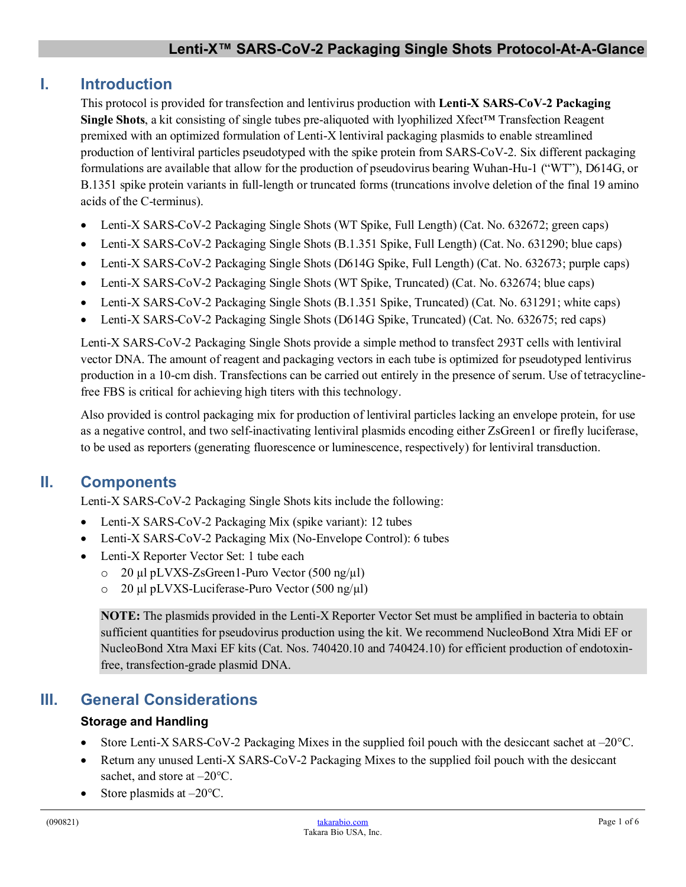# **I. Introduction**

This protocol is provided for transfection and lentivirus production with **Lenti-X SARS-CoV-2 Packaging Single Shots**, a kit consisting of single tubes pre-aliquoted with lyophilized Xfect™ Transfection Reagent premixed with an optimized formulation of Lenti-X lentiviral packaging plasmids to enable streamlined production of lentiviral particles pseudotyped with the spike protein from SARS-CoV-2. Six different packaging formulations are available that allow for the production of pseudovirus bearing Wuhan-Hu-1 ("WT"), D614G, or B.1351 spike protein variants in full-length or truncated forms (truncations involve deletion of the final 19 amino acids of the C-terminus).

- Lenti-X SARS-CoV-2 Packaging Single Shots (WT Spike, Full Length) (Cat. No. 632672; green caps)
- Lenti-X SARS-CoV-2 Packaging Single Shots (B.1.351 Spike, Full Length) (Cat. No. 631290; blue caps)
- Lenti-X SARS-CoV-2 Packaging Single Shots (D614G Spike, Full Length) (Cat. No. 632673; purple caps)
- Lenti-X SARS-CoV-2 Packaging Single Shots (WT Spike, Truncated) (Cat. No. 632674; blue caps)
- Lenti-X SARS-CoV-2 Packaging Single Shots (B.1.351 Spike, Truncated) (Cat. No. 631291; white caps)
- Lenti-X SARS-CoV-2 Packaging Single Shots (D614G Spike, Truncated) (Cat. No. 632675; red caps)

Lenti-X SARS-CoV-2 Packaging Single Shots provide a simple method to transfect 293T cells with lentiviral vector DNA. The amount of reagent and packaging vectors in each tube is optimized for pseudotyped lentivirus production in a 10-cm dish. Transfections can be carried out entirely in the presence of serum. Use of tetracyclinefree FBS is critical for achieving high titers with this technology.

Also provided is control packaging mix for production of lentiviral particles lacking an envelope protein, for use as a negative control, and two self-inactivating lentiviral plasmids encoding either ZsGreen1 or firefly luciferase, to be used as reporters (generating fluorescence or luminescence, respectively) for lentiviral transduction.

# **II. Components**

Lenti-X SARS-CoV-2 Packaging Single Shots kits include the following:

- Lenti-X SARS-CoV-2 Packaging Mix (spike variant): 12 tubes
- Lenti-X SARS-CoV-2 Packaging Mix (No-Envelope Control): 6 tubes
- Lenti-X Reporter Vector Set: 1 tube each
	- o 20 µl pLVXS-ZsGreen1-Puro Vector (500 ng/µl)
	- o 20 µl pLVXS-Luciferase-Puro Vector (500 ng/µl)

**NOTE:** The plasmids provided in the Lenti-X Reporter Vector Set must be amplified in bacteria to obtain sufficient quantities for pseudovirus production using the kit. We recommend NucleoBond Xtra Midi EF or NucleoBond Xtra Maxi EF kits (Cat. Nos. 740420.10 and 740424.10) for efficient production of endotoxinfree, transfection-grade plasmid DNA.

# **III. General Considerations**

#### **Storage and Handling**

- Store Lenti-X SARS-CoV-2 Packaging Mixes in the supplied foil pouch with the desiccant sachet at  $-20^{\circ}$ C.
- Return any unused Lenti-X SARS-CoV-2 Packaging Mixes to the supplied foil pouch with the desiccant sachet, and store at  $-20^{\circ}$ C.
- Store plasmids at  $-20^{\circ}$ C.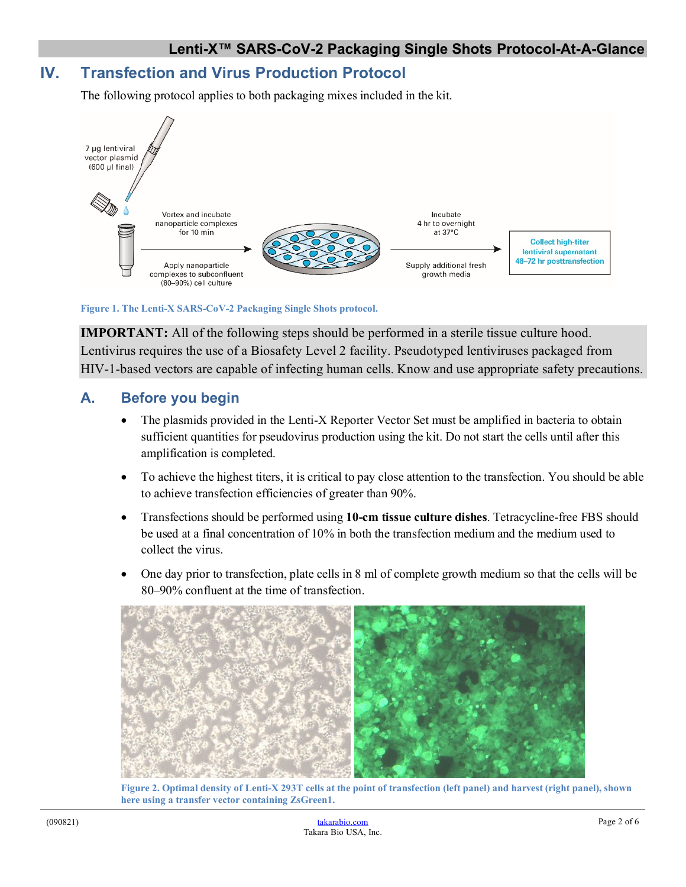### **IV. Transfection and Virus Production Protocol**

The following protocol applies to both packaging mixes included in the kit.



**Figure 1. The Lenti-X SARS-CoV-2 Packaging Single Shots protocol.**

**IMPORTANT:** All of the following steps should be performed in a sterile tissue culture hood. Lentivirus requires the use of a Biosafety Level 2 facility. Pseudotyped lentiviruses packaged from HIV-1-based vectors are capable of infecting human cells. Know and use appropriate safety precautions.

### **A. Before you begin**

- The plasmids provided in the Lenti-X Reporter Vector Set must be amplified in bacteria to obtain sufficient quantities for pseudovirus production using the kit. Do not start the cells until after this amplification is completed.
- To achieve the highest titers, it is critical to pay close attention to the transfection. You should be able to achieve transfection efficiencies of greater than 90%.
- Transfections should be performed using **10-cm tissue culture dishes**. Tetracycline-free FBS should be used at a final concentration of 10% in both the transfection medium and the medium used to collect the virus.
- One day prior to transfection, plate cells in 8 ml of complete growth medium so that the cells will be 80–90% confluent at the time of transfection.



**Figure 2. Optimal density of Lenti-X 293T cells at the point of transfection (left panel) and harvest (right panel), shown here using a transfer vector containing ZsGreen1.**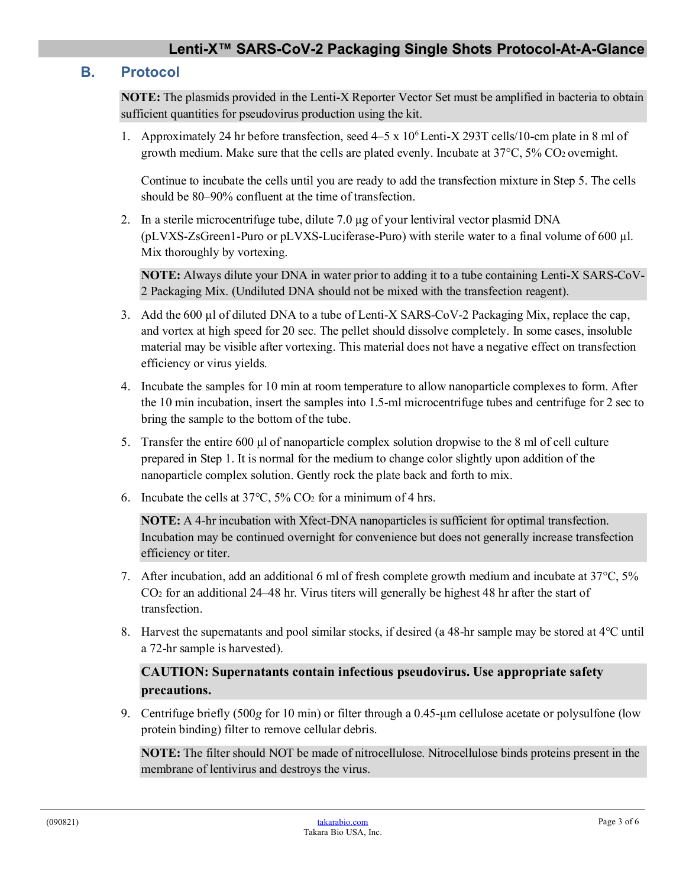### **Lenti-X™ SARS-CoV-2 Packaging Single Shots Protocol-At-A-Glance**

#### **B. Protocol**

**NOTE:** The plasmids provided in the Lenti-X Reporter Vector Set must be amplified in bacteria to obtain sufficient quantities for pseudovirus production using the kit.

1. Approximately 24 hr before transfection, seed  $4-5 \times 10^6$  Lenti-X 293T cells/10-cm plate in 8 ml of growth medium. Make sure that the cells are plated evenly. Incubate at 37°C, 5% CO2 overnight.

Continue to incubate the cells until you are ready to add the transfection mixture in Step 5. The cells should be 80–90% confluent at the time of transfection.

2. In a sterile microcentrifuge tube, dilute 7.0 µg of your lentiviral vector plasmid DNA (pLVXS-ZsGreen1-Puro or pLVXS-Luciferase-Puro) with sterile water to a final volume of 600 µl. Mix thoroughly by vortexing.

**NOTE:** Always dilute your DNA in water prior to adding it to a tube containing Lenti-X SARS-CoV-2 Packaging Mix. (Undiluted DNA should not be mixed with the transfection reagent).

- 3. Add the 600  $\mu$ l of diluted DNA to a tube of Lenti-X SARS-CoV-2 Packaging Mix, replace the cap, and vortex at high speed for 20 sec. The pellet should dissolve completely. In some cases, insoluble material may be visible after vortexing. This material does not have a negative effect on transfection efficiency or virus yields.
- 4. Incubate the samples for 10 min at room temperature to allow nanoparticle complexes to form. After the 10 min incubation, insert the samples into 1.5-ml microcentrifuge tubes and centrifuge for 2 sec to bring the sample to the bottom of the tube.
- 5. Transfer the entire 600 μl of nanoparticle complex solution dropwise to the 8 ml of cell culture prepared in Step 1. It is normal for the medium to change color slightly upon addition of the nanoparticle complex solution. Gently rock the plate back and forth to mix.
- 6. Incubate the cells at  $37^{\circ}$ C,  $5\%$  CO<sub>2</sub> for a minimum of 4 hrs.

**NOTE:** A 4-hr incubation with Xfect-DNA nanoparticles is sufficient for optimal transfection. Incubation may be continued overnight for convenience but does not generally increase transfection efficiency or titer.

- 7. After incubation, add an additional 6 ml of fresh complete growth medium and incubate at 37°C, 5% CO2 for an additional 24–48 hr. Virus titers will generally be highest 48 hr after the start of transfection.
- 8. Harvest the supernatants and pool similar stocks, if desired (a 48-hr sample may be stored at 4°C until a 72-hr sample is harvested).

#### **CAUTION: Supernatants contain infectious pseudovirus. Use appropriate safety precautions.**

9. Centrifuge briefly (500*g* for 10 min) or filter through a 0.45-μm cellulose acetate or polysulfone (low protein binding) filter to remove cellular debris.

**NOTE:** The filter should NOT be made of nitrocellulose. Nitrocellulose binds proteins present in the membrane of lentivirus and destroys the virus.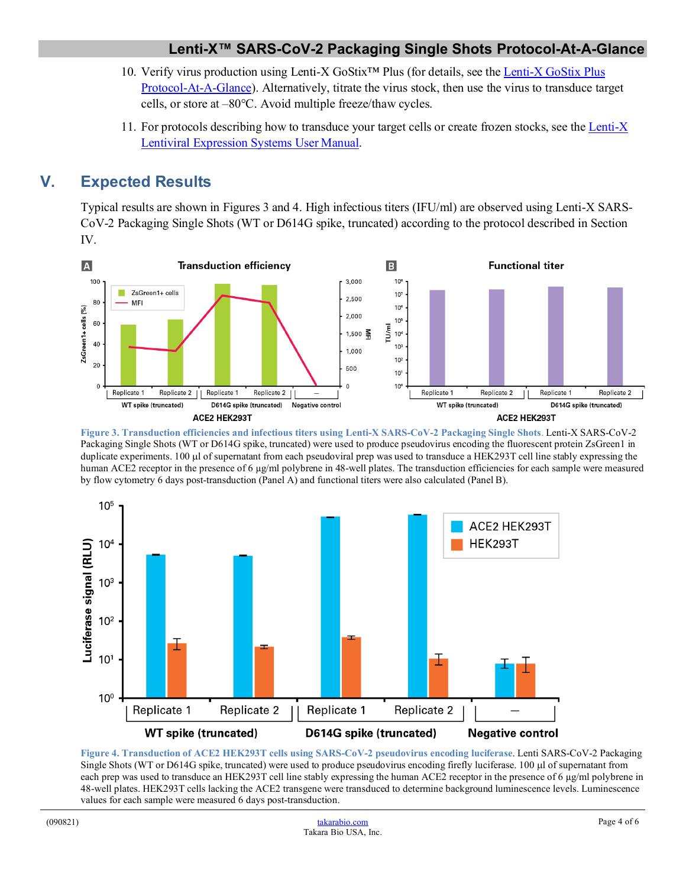- 10. Verify virus production using Lenti-X GoStix™ Plus (for details, see the Lenti-X [GoStix Plus](http://www.takarabio.com/resourcedocument/x98514)  [Protocol-At-A-Glance\)](http://www.takarabio.com/resourcedocument/x98514). Alternatively, titrate the virus stock, then use the virus to transduce target cells, or store at –80°C. Avoid multiple freeze/thaw cycles.
- 11. For protocols describing how to transduce your target cells or create frozen stocks, see th[e Lenti-X](http://www.takarabio.com/resourcedocument/x32774) [Lentiviral Expression Systems User Manual.](http://www.takarabio.com/resourcedocument/x32774)

### **V. Expected Results**

Typical results are shown in Figures 3 and 4. High infectious titers (IFU/ml) are observed using Lenti-X SARS-CoV-2 Packaging Single Shots (WT or D614G spike, truncated) according to the protocol described in Section IV.



**Figure 3. Transduction efficiencies and infectious titers using Lenti-X SARS-CoV-2 Packaging Single Shots**. Lenti-X SARS-CoV-2 Packaging Single Shots (WT or D614G spike, truncated) were used to produce pseudovirus encoding the fluorescent protein ZsGreen1 in duplicate experiments. 100 µl of supernatant from each pseudoviral prep was used to transduce a HEK293T cell line stably expressing the human ACE2 receptor in the presence of 6 µg/ml polybrene in 48-well plates. The transduction efficiencies for each sample were measured by flow cytometry 6 days post-transduction (Panel A) and functional titers were also calculated (Panel B).



**Figure 4. Transduction of ACE2 HEK293T cells using SARS-CoV-2 pseudovirus encoding luciferase**. Lenti SARS-CoV-2 Packaging Single Shots (WT or D614G spike, truncated) were used to produce pseudovirus encoding firefly luciferase. 100 µl of supernatant from each prep was used to transduce an HEK293T cell line stably expressing the human ACE2 receptor in the presence of 6 µg/ml polybrene in 48-well plates. HEK293T cells lacking the ACE2 transgene were transduced to determine background luminescence levels. Luminescence values for each sample were measured 6 days post-transduction.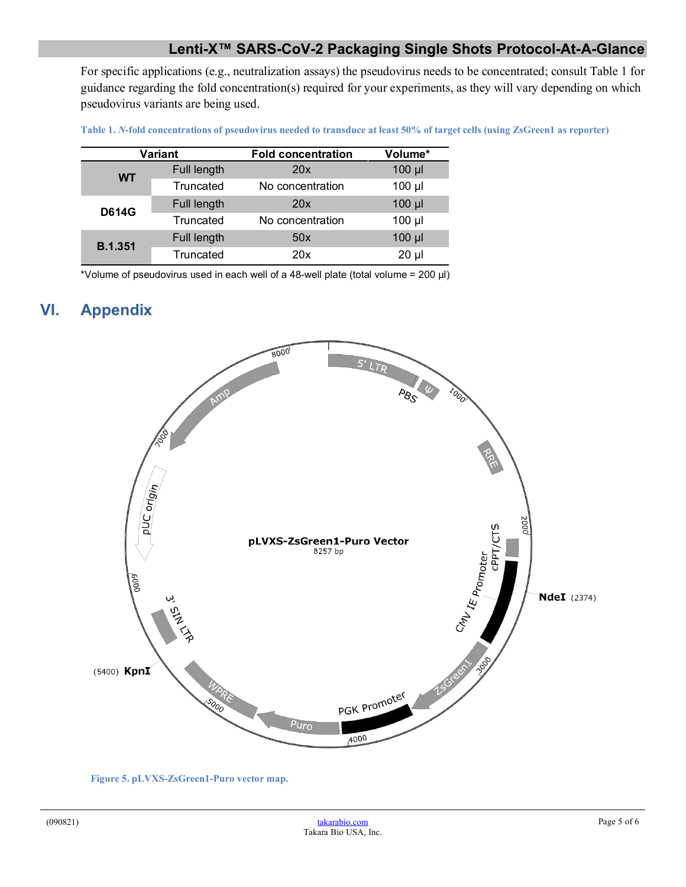### **Lenti-X™ SARS-CoV-2 Packaging Single Shots Protocol-At-A-Glance**

For specific applications (e.g., neutralization assays) the pseudovirus needs to be concentrated; consult Table 1 for guidance regarding the fold concentration(s) required for your experiments, as they will vary depending on which pseudovirus variants are being used.

**Table 1.** *N***-fold concentrations of pseudovirus needed to transduce at least 50% of target cells (using ZsGreen1 as reporter)**

| <b>Variant</b> |             | <b>Fold concentration</b> | Volume*     |
|----------------|-------------|---------------------------|-------------|
| <b>WT</b>      | Full length | 20x                       | $100$ $\mu$ |
|                | Truncated   | No concentration          | $100$ $\mu$ |
| <b>D614G</b>   | Full length | 20x                       | $100$ $\mu$ |
|                | Truncated   | No concentration          | $100$ $\mu$ |
| <b>B.1.351</b> | Full length | 50x                       | $100$ $\mu$ |
|                | Truncated   | 20x                       | $20 \mu$    |

\*Volume of pseudovirus used in each well of a 48-well plate (total volume = 200 µl)

### **VI. Appendix**



**Figure 5. pLVXS-ZsGreen1-Puro vector map.**